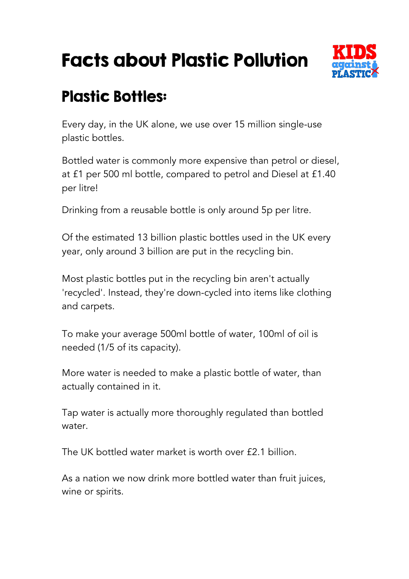## Facts about Plastic Pollution



## Plastic Bottles:

Every day, in the UK alone, we use over 15 million single-use plastic bottles.

Bottled water is commonly more expensive than petrol or diesel, at £1 per 500 ml bottle, compared to petrol and Diesel at £1.40 per litre!

Drinking from a reusable bottle is only around 5p per litre.

Of the estimated 13 billion plastic bottles used in the UK every year, only around 3 billion are put in the recycling bin.

Most plastic bottles put in the recycling bin aren't actually 'recycled'. Instead, they're down-cycled into items like clothing and carpets.

To make your average 500ml bottle of water, 100ml of oil is needed (1/5 of its capacity).

More water is needed to make a plastic bottle of water, than actually contained in it.

Tap water is actually more thoroughly regulated than bottled water.

The UK bottled water market is worth over £2.1 billion.

As a nation we now drink more bottled water than fruit juices, wine or spirits.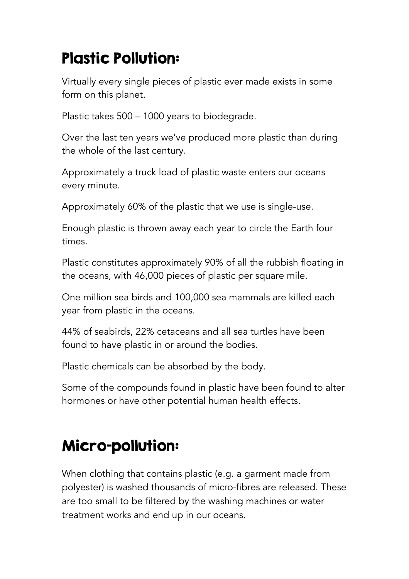## Plastic Pollution:

Virtually every single pieces of plastic ever made exists in some form on this planet.

Plastic takes 500 – 1000 years to biodegrade.

Over the last ten years we've produced more plastic than during the whole of the last century.

Approximately a truck load of plastic waste enters our oceans every minute.

Approximately 60% of the plastic that we use is single-use.

Enough plastic is thrown away each year to circle the Earth four times.

Plastic constitutes approximately 90% of all the rubbish floating in the oceans, with 46,000 pieces of plastic per square mile.

One million sea birds and 100,000 sea mammals are killed each year from plastic in the oceans.

44% of seabirds, 22% cetaceans and all sea turtles have been found to have plastic in or around the bodies.

Plastic chemicals can be absorbed by the body.

Some of the compounds found in plastic have been found to alter hormones or have other potential human health effects.

## Micro-pollution:

When clothing that contains plastic (e.g. a garment made from polyester) is washed thousands of micro-fibres are released. These are too small to be filtered by the washing machines or water treatment works and end up in our oceans.